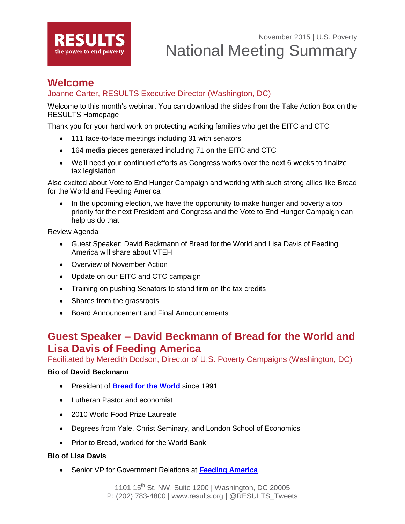

## **Welcome**

### Joanne Carter, RESULTS Executive Director (Washington, DC)

Welcome to this month's webinar. You can download the slides from the Take Action Box on the RESULTS Homepage

Thank you for your hard work on protecting working families who get the EITC and CTC

- 111 face-to-face meetings including 31 with senators
- 164 media pieces generated including 71 on the EITC and CTC
- We'll need your continued efforts as Congress works over the next 6 weeks to finalize tax legislation

Also excited about Vote to End Hunger Campaign and working with such strong allies like Bread for the World and Feeding America

 In the upcoming election, we have the opportunity to make hunger and poverty a top priority for the next President and Congress and the Vote to End Hunger Campaign can help us do that

Review Agenda

- Guest Speaker: David Beckmann of Bread for the World and Lisa Davis of Feeding America will share about VTEH
- Overview of November Action
- Update on our EITC and CTC campaign
- Training on pushing Senators to stand firm on the tax credits
- Shares from the grassroots
- Board Announcement and Final Announcements

# **Guest Speaker – David Beckmann of Bread for the World and Lisa Davis of Feeding America**

Facilitated by Meredith Dodson, Director of U.S. Poverty Campaigns (Washington, DC)

#### **Bio of David Beckmann**

- President of **[Bread for the World](http://www.bread.org/)** since 1991
- Lutheran Pastor and economist
- 2010 World Food Prize Laureate
- Degrees from Yale, Christ Seminary, and London School of Economics
- Prior to Bread, worked for the World Bank

#### **Bio of Lisa Davis**

Senior VP for Government Relations at **[Feeding America](http://www.feedingamerica.org/)**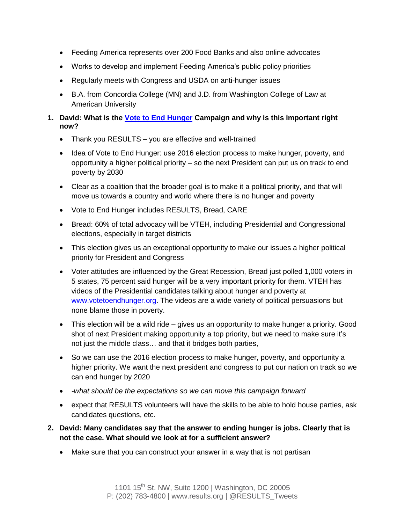- Feeding America represents over 200 Food Banks and also online advocates
- Works to develop and implement Feeding America's public policy priorities
- Regularly meets with Congress and USDA on anti-hunger issues
- B.A. from Concordia College (MN) and J.D. from Washington College of Law at American University
- **1. David: What is the [Vote to End Hunger](http://www.votetoendhunger.org/) Campaign and why is this important right now?**
	- Thank you RESULTS you are effective and well-trained
	- Idea of Vote to End Hunger: use 2016 election process to make hunger, poverty, and opportunity a higher political priority – so the next President can put us on track to end poverty by 2030
	- Clear as a coalition that the broader goal is to make it a political priority, and that will move us towards a country and world where there is no hunger and poverty
	- Vote to End Hunger includes RESULTS, Bread, CARE
	- Bread: 60% of total advocacy will be VTEH, including Presidential and Congressional elections, especially in target districts
	- This election gives us an exceptional opportunity to make our issues a higher political priority for President and Congress
	- Voter attitudes are influenced by the Great Recession, Bread just polled 1,000 voters in 5 states, 75 percent said hunger will be a very important priority for them. VTEH has videos of the Presidential candidates talking about hunger and poverty at [www.votetoendhunger.org.](http://www.votetoendhunger.org/) The videos are a wide variety of political persuasions but none blame those in poverty.
	- This election will be a wild ride gives us an opportunity to make hunger a priority. Good shot of next President making opportunity a top priority, but we need to make sure it's not just the middle class… and that it bridges both parties,
	- So we can use the 2016 election process to make hunger, poverty, and opportunity a higher priority. We want the next president and congress to put our nation on track so we can end hunger by 2020
	- *-what should be the expectations so we can move this campaign forward*
	- expect that RESULTS volunteers will have the skills to be able to hold house parties, ask candidates questions, etc.
- **2. David: Many candidates say that the answer to ending hunger is jobs. Clearly that is not the case. What should we look at for a sufficient answer?**
	- Make sure that you can construct your answer in a way that is not partisan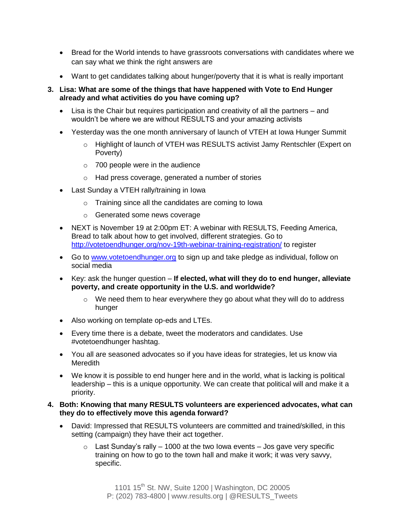- Bread for the World intends to have grassroots conversations with candidates where we can say what we think the right answers are
- Want to get candidates talking about hunger/poverty that it is what is really important

#### **3. Lisa: What are some of the things that have happened with Vote to End Hunger already and what activities do you have coming up?**

- Lisa is the Chair but requires participation and creativity of all the partners and wouldn't be where we are without RESULTS and your amazing activists
- Yesterday was the one month anniversary of launch of VTEH at Iowa Hunger Summit
	- o Highlight of launch of VTEH was RESULTS activist Jamy Rentschler (Expert on Poverty)
	- $\circ$  700 people were in the audience
	- o Had press coverage, generated a number of stories
- Last Sunday a VTEH rally/training in Iowa
	- o Training since all the candidates are coming to Iowa
	- o Generated some news coverage
- NEXT is November 19 at 2:00pm ET: A webinar with RESULTS, Feeding America, Bread to talk about how to get involved, different strategies. Go to <http://votetoendhunger.org/nov-19th-webinar-training-registration/> to register
- Go to [www.votetoendhunger.org](http://www.votetoendhunger.org/) to sign up and take pledge as individual, follow on social media
- Key: ask the hunger question **If elected, what will they do to end hunger, alleviate poverty, and create opportunity in the U.S. and worldwide?** 
	- $\circ$  We need them to hear everywhere they go about what they will do to address hunger
- Also working on template op-eds and LTEs.
- Every time there is a debate, tweet the moderators and candidates. Use #votetoendhunger hashtag.
- You all are seasoned advocates so if you have ideas for strategies, let us know via **Meredith**
- We know it is possible to end hunger here and in the world, what is lacking is political leadership – this is a unique opportunity. We can create that political will and make it a priority.

#### **4. Both: Knowing that many RESULTS volunteers are experienced advocates, what can they do to effectively move this agenda forward?**

- David: Impressed that RESULTS volunteers are committed and trained/skilled, in this setting (campaign) they have their act together.
	- $\circ$  Last Sunday's rally 1000 at the two lowa events Jos gave very specific training on how to go to the town hall and make it work; it was very savvy, specific.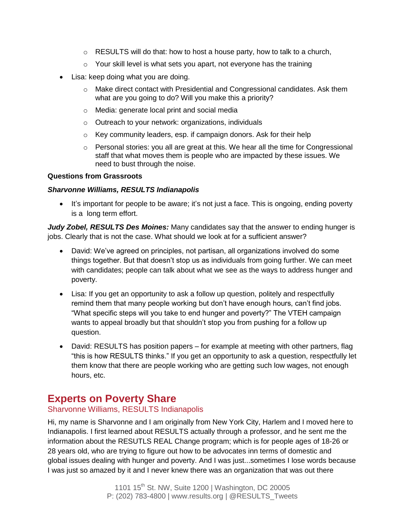- $\circ$  RESULTS will do that: how to host a house party, how to talk to a church,
- $\circ$  Your skill level is what sets you apart, not everyone has the training
- Lisa: keep doing what you are doing.
	- $\circ$  Make direct contact with Presidential and Congressional candidates. Ask them what are you going to do? Will you make this a priority?
	- o Media: generate local print and social media
	- o Outreach to your network: organizations, individuals
	- o Key community leaders, esp. if campaign donors. Ask for their help
	- o Personal stories: you all are great at this. We hear all the time for Congressional staff that what moves them is people who are impacted by these issues. We need to bust through the noise.

#### **Questions from Grassroots**

#### *Sharvonne Williams, RESULTS Indianapolis*

• It's important for people to be aware; it's not just a face. This is ongoing, ending poverty is a long term effort.

*Judy Zobel, RESULTS Des Moines:* Many candidates say that the answer to ending hunger is jobs. Clearly that is not the case. What should we look at for a sufficient answer?

- David: We've agreed on principles, not partisan, all organizations involved do some things together. But that doesn't stop us as individuals from going further. We can meet with candidates; people can talk about what we see as the ways to address hunger and poverty.
- Lisa: If you get an opportunity to ask a follow up question, politely and respectfully remind them that many people working but don't have enough hours, can't find jobs. "What specific steps will you take to end hunger and poverty?" The VTEH campaign wants to appeal broadly but that shouldn't stop you from pushing for a follow up question.
- David: RESULTS has position papers for example at meeting with other partners, flag "this is how RESULTS thinks." If you get an opportunity to ask a question, respectfully let them know that there are people working who are getting such low wages, not enough hours, etc.

### **Experts on Poverty Share**

### Sharvonne Williams, RESULTS Indianapolis

Hi, my name is Sharvonne and I am originally from New York City, Harlem and I moved here to Indianapolis. I first learned about RESULTS actually through a professor, and he sent me the information about the RESUTLS REAL Change program; which is for people ages of 18-26 or 28 years old, who are trying to figure out how to be advocates inn terms of domestic and global issues dealing with hunger and poverty. And I was just...sometimes I lose words because I was just so amazed by it and I never knew there was an organization that was out there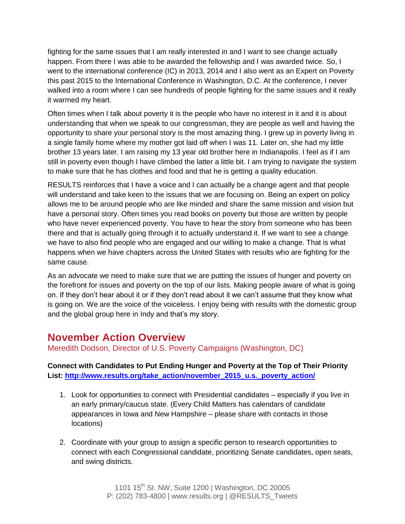fighting for the same issues that I am really interested in and I want to see change actually happen. From there I was able to be awarded the fellowship and I was awarded twice. So, I went to the international conference (IC) in 2013, 2014 and I also went as an Expert on Poverty this past 2015 to the International Conference in Washington, D.C. At the conference, I never walked into a room where I can see hundreds of people fighting for the same issues and it really it warmed my heart.

Often times when I talk about poverty it is the people who have no interest in it and it is about understanding that when we speak to our congressman, they are people as well and having the opportunity to share your personal story is the most amazing thing. I grew up in poverty living in a single family home where my mother got laid off when I was 11. Later on, she had my little brother 13 years later. I am raising my 13 year old brother here in Indianapolis. I feel as if I am still in poverty even though I have climbed the latter a little bit. I am trying to navigate the system to make sure that he has clothes and food and that he is getting a quality education.

RESULTS reinforces that I have a voice and I can actually be a change agent and that people will understand and take keen to the issues that we are focusing on. Being an expert on policy allows me to be around people who are like minded and share the same mission and vision but have a personal story. Often times you read books on poverty but those are written by people who have never experienced poverty. You have to hear the story from someone who has been there and that is actually going through it to actually understand it. If we want to see a change we have to also find people who are engaged and our willing to make a change. That is what happens when we have chapters across the United States with results who are fighting for the same cause.

As an advocate we need to make sure that we are putting the issues of hunger and poverty on the forefront for issues and poverty on the top of our lists. Making people aware of what is going on. If they don't hear about it or if they don't read about it we can't assume that they know what is going on. We are the voice of the voiceless. I enjoy being with results with the domestic group and the global group here in Indy and that's my story.

# **November Action Overview**

Meredith Dodson, Director of U.S. Poverty Campaigns (Washington, DC)

**Connect with Candidates to Put Ending Hunger and Poverty at the Top of Their Priority List: [http://www.results.org/take\\_action/november\\_2015\\_u.s.\\_poverty\\_action/](http://www.results.org/take_action/november_2015_u.s._poverty_action/)**

- 1. Look for opportunities to connect with Presidential candidates especially if you live in an early primary/caucus state. (Every Child Matters has calendars of candidate appearances in Iowa and New Hampshire – please share with contacts in those locations)
- 2. Coordinate with your group to assign a specific person to research opportunities to connect with each Congressional candidate, prioritizing Senate candidates, open seats, and swing districts.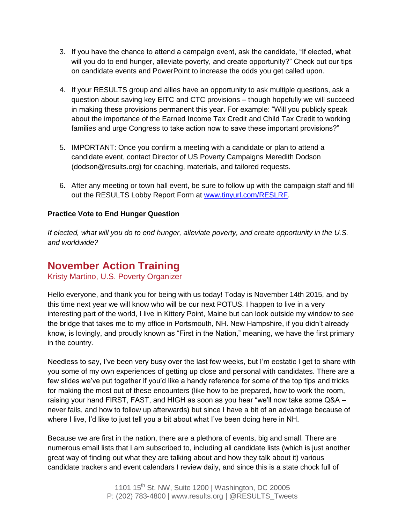- 3. If you have the chance to attend a campaign event, ask the candidate, "If elected, what will you do to end hunger, alleviate poverty, and create opportunity?" Check out our tips on candidate events and PowerPoint to increase the odds you get called upon.
- 4. If your RESULTS group and allies have an opportunity to ask multiple questions, ask a question about saving key EITC and CTC provisions – though hopefully we will succeed in making these provisions permanent this year. For example: "Will you publicly speak about the importance of the Earned Income Tax Credit and Child Tax Credit to working families and urge Congress to take action now to save these important provisions?"
- 5. IMPORTANT: Once you confirm a meeting with a candidate or plan to attend a candidate event, contact Director of US Poverty Campaigns Meredith Dodson (dodson@results.org) for coaching, materials, and tailored requests.
- 6. After any meeting or town hall event, be sure to follow up with the campaign staff and fill out the RESULTS Lobby Report Form at [www.tinyurl.com/RESLRF.](http://www.tinyurl.com/RESLRF)

#### **Practice Vote to End Hunger Question**

*If elected, what will you do to end hunger, alleviate poverty, and create opportunity in the U.S. and worldwide?*

### **November Action Training**

Kristy Martino, U.S. Poverty Organizer

Hello everyone, and thank you for being with us today! Today is November 14th 2015, and by this time next year we will know who will be our next POTUS. I happen to live in a very interesting part of the world, I live in Kittery Point, Maine but can look outside my window to see the bridge that takes me to my office in Portsmouth, NH. New Hampshire, if you didn't already know, is lovingly, and proudly known as "First in the Nation," meaning, we have the first primary in the country.

Needless to say, I've been very busy over the last few weeks, but I'm ecstatic I get to share with you some of my own experiences of getting up close and personal with candidates. There are a few slides we've put together if you'd like a handy reference for some of the top tips and tricks for making the most out of these encounters (like how to be prepared, how to work the room, raising your hand FIRST, FAST, and HIGH as soon as you hear "we'll now take some Q&A – never fails, and how to follow up afterwards) but since I have a bit of an advantage because of where I live, I'd like to just tell you a bit about what I've been doing here in NH.

Because we are first in the nation, there are a plethora of events, big and small. There are numerous email lists that I am subscribed to, including all candidate lists (which is just another great way of finding out what they are talking about and how they talk about it) various candidate trackers and event calendars I review daily, and since this is a state chock full of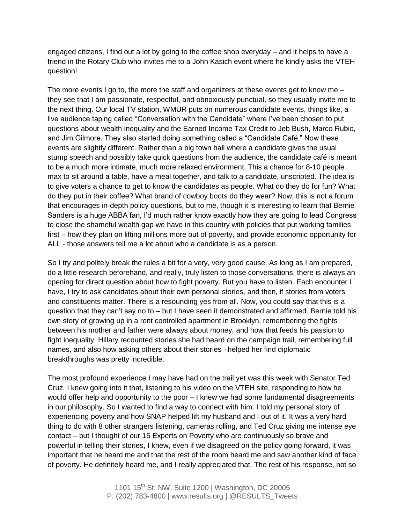engaged citizens, I find out a lot by going to the coffee shop everyday – and it helps to have a friend in the Rotary Club who invites me to a John Kasich event where he kindly asks the VTEH question!

The more events I go to, the more the staff and organizers at these events get to know me – they see that I am passionate, respectful, and obnoxiously punctual, so they usually invite me to the next thing. Our local TV station, WMUR puts on numerous candidate events, things like, a live audience taping called "Conversation with the Candidate" where I've been chosen to put questions about wealth inequality and the Earned Income Tax Credit to Jeb Bush, Marco Rubio, and Jim Gilmore. They also started doing something called a "Candidate Café." Now these events are slightly different. Rather than a big town hall where a candidate gives the usual stump speech and possibly take quick questions from the audience, the candidate café is meant to be a much more intimate, much more relaxed environment. This a chance for 8-10 people max to sit around a table, have a meal together, and talk to a candidate, unscripted. The idea is to give voters a chance to get to know the candidates as people. What do they do for fun? What do they put in their coffee? What brand of cowboy boots do they wear? Now, this is not a forum that encourages in-depth policy questions, but to me, though it is interesting to learn that Bernie Sanders is a huge ABBA fan, I'd much rather know exactly how they are going to lead Congress to close the shameful wealth gap we have in this country with policies that put working families first – how they plan on lifting millions more out of poverty, and provide economic opportunity for ALL - those answers tell me a lot about who a candidate is as a person.

So I try and politely break the rules a bit for a very, very good cause. As long as I am prepared, do a little research beforehand, and really, truly listen to those conversations, there is always an opening for direct question about how to fight poverty. But you have to listen. Each encounter I have, I try to ask candidates about their own personal stories, and then, if stories from voters and constituents matter. There is a resounding yes from all. Now, you could say that this is a question that they can't say no to – but I have seen it demonstrated and affirmed. Bernie told his own story of growing up in a rent controlled apartment in Brooklyn, remembering the fights between his mother and father were always about money, and how that feeds his passion to fight inequality. Hillary recounted stories she had heard on the campaign trail, remembering full names, and also how asking others about their stories –helped her find diplomatic breakthroughs was pretty incredible.

The most profound experience I may have had on the trail yet was this week with Senator Ted Cruz. I knew going into it that, listening to his video on the VTEH site, responding to how he would offer help and opportunity to the poor – I knew we had some fundamental disagreements in our philosophy. So I wanted to find a way to connect with him. I told my personal story of experiencing poverty and how SNAP helped lift my husband and I out of it. It was a very hard thing to do with 8 other strangers listening, cameras rolling, and Ted Cruz giving me intense eye contact – but I thought of our 15 Experts on Poverty who are continuously so brave and powerful in telling their stories, I knew, even if we disagreed on the policy going forward, it was important that he heard me and that the rest of the room heard me and saw another kind of face of poverty. He definitely heard me, and I really appreciated that. The rest of his response, not so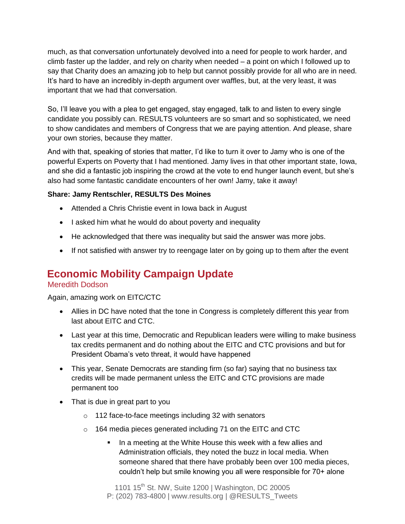much, as that conversation unfortunately devolved into a need for people to work harder, and climb faster up the ladder, and rely on charity when needed – a point on which I followed up to say that Charity does an amazing job to help but cannot possibly provide for all who are in need. It's hard to have an incredibly in-depth argument over waffles, but, at the very least, it was important that we had that conversation.

So, I'll leave you with a plea to get engaged, stay engaged, talk to and listen to every single candidate you possibly can. RESULTS volunteers are so smart and so sophisticated, we need to show candidates and members of Congress that we are paying attention. And please, share your own stories, because they matter.

And with that, speaking of stories that matter, I'd like to turn it over to Jamy who is one of the powerful Experts on Poverty that I had mentioned. Jamy lives in that other important state, Iowa, and she did a fantastic job inspiring the crowd at the vote to end hunger launch event, but she's also had some fantastic candidate encounters of her own! Jamy, take it away!

### **Share: Jamy Rentschler, RESULTS Des Moines**

- Attended a Chris Christie event in Iowa back in August
- I asked him what he would do about poverty and inequality
- He acknowledged that there was inequality but said the answer was more jobs.
- If not satisfied with answer try to reengage later on by going up to them after the event

# **Economic Mobility Campaign Update**

### Meredith Dodson

Again, amazing work on EITC/CTC

- Allies in DC have noted that the tone in Congress is completely different this year from last about EITC and CTC.
- Last year at this time, Democratic and Republican leaders were willing to make business tax credits permanent and do nothing about the EITC and CTC provisions and but for President Obama's veto threat, it would have happened
- This year, Senate Democrats are standing firm (so far) saying that no business tax credits will be made permanent unless the EITC and CTC provisions are made permanent too
- That is due in great part to you
	- o 112 face-to-face meetings including 32 with senators
	- o 164 media pieces generated including 71 on the EITC and CTC
		- In a meeting at the White House this week with a few allies and Administration officials, they noted the buzz in local media. When someone shared that there have probably been over 100 media pieces, couldn't help but smile knowing you all were responsible for 70+ alone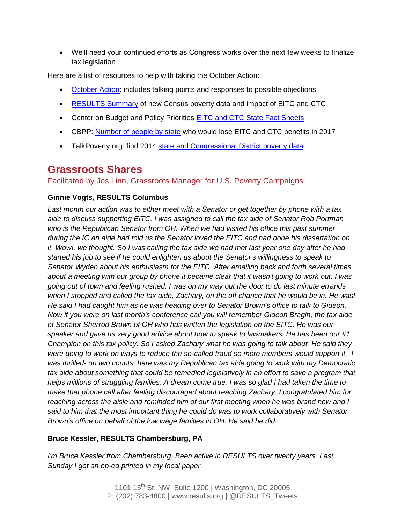We'll need your continued efforts as Congress works over the next few weeks to finalize tax legislation

Here are a list of resources to help with taking the October Action:

- **[October Action:](http://www.results.org/take_action/october_2015_u.s._poverty_action/)** includes talking points and responses to possible objections
- [RESULTS Summary](http://www.results.org/newsroom/upcoming_u.s._poverty_data_will_show_urgency_of_saving_pro_work_tax_credits/) of new Census poverty data and impact of EITC and CTC
- Center on Budget and Policy Priorities [EITC and CTC State Fact Sheets](http://www.cbpp.org/research/federal-tax/state-fact-sheets-the-earned-income-and-child-tax-credits)
- CBPP: [Number of people by state](http://www.cbpp.org/research/federal-tax/letting-key-provisions-of-working-family-tax-credits-expire-would-push-16) who would lose EITC and CTC benefits in 2017
- TalkPoverty.org: find 2014 [state and Congressional District poverty data](talkpoverty.org/poverty/)

# **Grassroots Shares**

Facilitated by Jos Linn, Grassroots Manager for U.S. Poverty Campaigns

### **Ginnie Vogts, RESULTS Columbus**

*Last month our action was to either meet with a Senator or get together by phone with a tax aide to discuss supporting EITC. I was assigned to call the tax aide of Senator Rob Portman who is the Republican Senator from OH. When we had visited his office this past summer during the IC an aide had told us the Senator loved the EITC and had done his dissertation on it. Wow!, we thought. So I was calling the tax aide we had met last year one day after he had started his job to see if he could enlighten us about the Senator's willingness to speak to Senator Wyden about his enthusiasm for the EITC. After emailing back and forth several times about a meeting with our group by phone it became clear that it wasn't going to work out. I was going out of town and feeling rushed. I was on my way out the door to do last minute errands when I stopped and called the tax aide, Zachary, on the off chance that he would be in. He was! He said I had caught him as he was heading over to Senator Brown's office to talk to Gideon. Now if you were on last month's conference call you will remember Gideon Bragin, the tax aide of Senator Sherrod Brown of OH who has written the legislation on the EITC. He was our speaker and gave us very good advice about how to speak to lawmakers. He has been our #1 Champion on this tax policy. So I asked Zachary what he was going to talk about. He said they were going to work on ways to reduce the so-called fraud so more members would support it. I was thrilled- on two counts; here was my Republican tax aide going to work with my Democratic tax aide about something that could be remedied legislatively in an effort to save a program that helps millions of struggling families. A dream come true. I was so glad I had taken the time to make that phone call after feeling discouraged about reaching Zachary. I congratulated him for reaching across the aisle and reminded him of our first meeting when he was brand new and I said to him that the most important thing he could do was to work collaboratively with Senator Brown's office on behalf of the low wage families in OH. He said he did.*

### **Bruce Kessler, RESULTS Chambersburg, PA**

*I'm Bruce Kessler from Chambersburg. Been active in RESULTS over twenty years. Last Sunday I got an op-ed printed in my local paper.*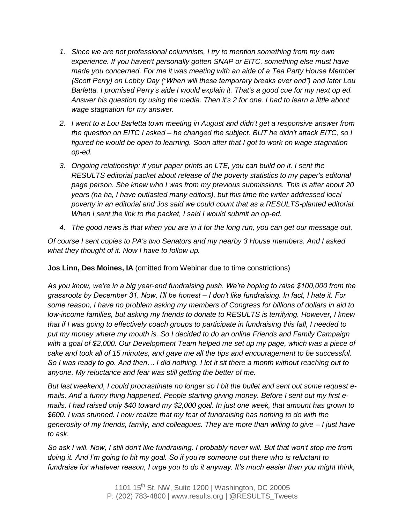- *1. Since we are not professional columnists, I try to mention something from my own experience. If you haven't personally gotten SNAP or EITC, something else must have made you concerned. For me it was meeting with an aide of a Tea Party House Member (Scott Perry) on Lobby Day ("When will these temporary breaks ever end") and later Lou Barletta. I promised Perry's aide I would explain it. That's a good cue for my next op ed. Answer his question by using the media. Then it's 2 for one. I had to learn a little about wage stagnation for my answer.*
- *2. I went to a Lou Barletta town meeting in August and didn't get a responsive answer from the question on EITC I asked – he changed the subject. BUT he didn't attack EITC, so I figured he would be open to learning. Soon after that I got to work on wage stagnation op-ed.*
- *3. Ongoing relationship: if your paper prints an LTE, you can build on it. I sent the RESULTS editorial packet about release of the poverty statistics to my paper's editorial page person. She knew who I was from my previous submissions. This is after about 20 years (ha ha, I have outlasted many editors), but this time the writer addressed local poverty in an editorial and Jos said we could count that as a RESULTS-planted editorial. When I sent the link to the packet, I said I would submit an op-ed.*
- *4. The good news is that when you are in it for the long run, you can get our message out.*

*Of course I sent copies to PA's two Senators and my nearby 3 House members. And I asked what they thought of it. Now I have to follow up.*

**Jos Linn, Des Moines, IA** (omitted from Webinar due to time constrictions)

*As you know, we're in a big year-end fundraising push. We're hoping to raise \$100,000 from the grassroots by December 31. Now, I'll be honest – I don't like fundraising. In fact, I hate it. For some reason, I have no problem asking my members of Congress for billions of dollars in aid to low-income families, but asking my friends to donate to RESULTS is terrifying. However, I knew that if I was going to effectively coach groups to participate in fundraising this fall, I needed to put my money where my mouth is. So I decided to do an online Friends and Family Campaign with a goal of \$2,000. Our Development Team helped me set up my page, which was a piece of cake and took all of 15 minutes, and gave me all the tips and encouragement to be successful. So I was ready to go. And then… I did nothing. I let it sit there a month without reaching out to anyone. My reluctance and fear was still getting the better of me.*

*But last weekend, I could procrastinate no longer so I bit the bullet and sent out some request emails. And a funny thing happened. People starting giving money. Before I sent out my first emails, I had raised only \$40 toward my \$2,000 goal. In just one week, that amount has grown to \$600. I was stunned. I now realize that my fear of fundraising has nothing to do with the generosity of my friends, family, and colleagues. They are more than willing to give – I just have to ask.*

*So ask I will. Now, I still don't like fundraising. I probably never will. But that won't stop me from doing it. And I'm going to hit my goal. So if you're someone out there who is reluctant to fundraise for whatever reason, I urge you to do it anyway. It's much easier than you might think,*